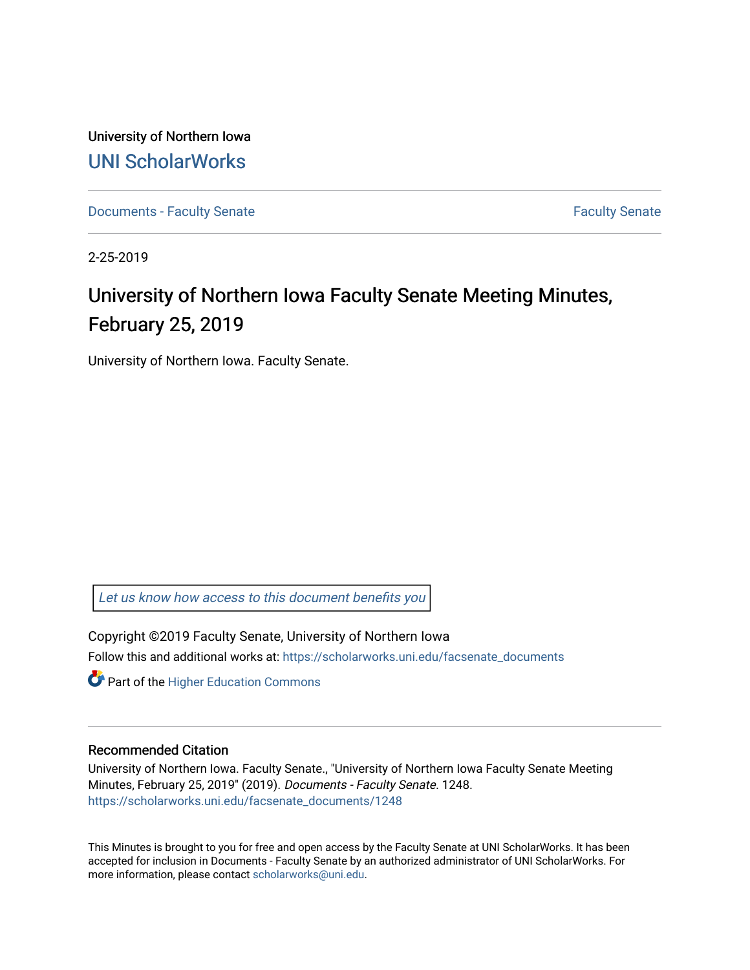University of Northern Iowa [UNI ScholarWorks](https://scholarworks.uni.edu/) 

[Documents - Faculty Senate](https://scholarworks.uni.edu/facsenate_documents) [Faculty Senate](https://scholarworks.uni.edu/facsenate) Faculty Senate

2-25-2019

# University of Northern Iowa Faculty Senate Meeting Minutes, February 25, 2019

University of Northern Iowa. Faculty Senate.

[Let us know how access to this document benefits you](https://scholarworks.uni.edu/feedback_form.html) 

Copyright ©2019 Faculty Senate, University of Northern Iowa Follow this and additional works at: [https://scholarworks.uni.edu/facsenate\\_documents](https://scholarworks.uni.edu/facsenate_documents?utm_source=scholarworks.uni.edu%2Ffacsenate_documents%2F1248&utm_medium=PDF&utm_campaign=PDFCoverPages) 

**Part of the Higher Education Commons** 

#### Recommended Citation

University of Northern Iowa. Faculty Senate., "University of Northern Iowa Faculty Senate Meeting Minutes, February 25, 2019" (2019). Documents - Faculty Senate. 1248. [https://scholarworks.uni.edu/facsenate\\_documents/1248](https://scholarworks.uni.edu/facsenate_documents/1248?utm_source=scholarworks.uni.edu%2Ffacsenate_documents%2F1248&utm_medium=PDF&utm_campaign=PDFCoverPages) 

This Minutes is brought to you for free and open access by the Faculty Senate at UNI ScholarWorks. It has been accepted for inclusion in Documents - Faculty Senate by an authorized administrator of UNI ScholarWorks. For more information, please contact [scholarworks@uni.edu.](mailto:scholarworks@uni.edu)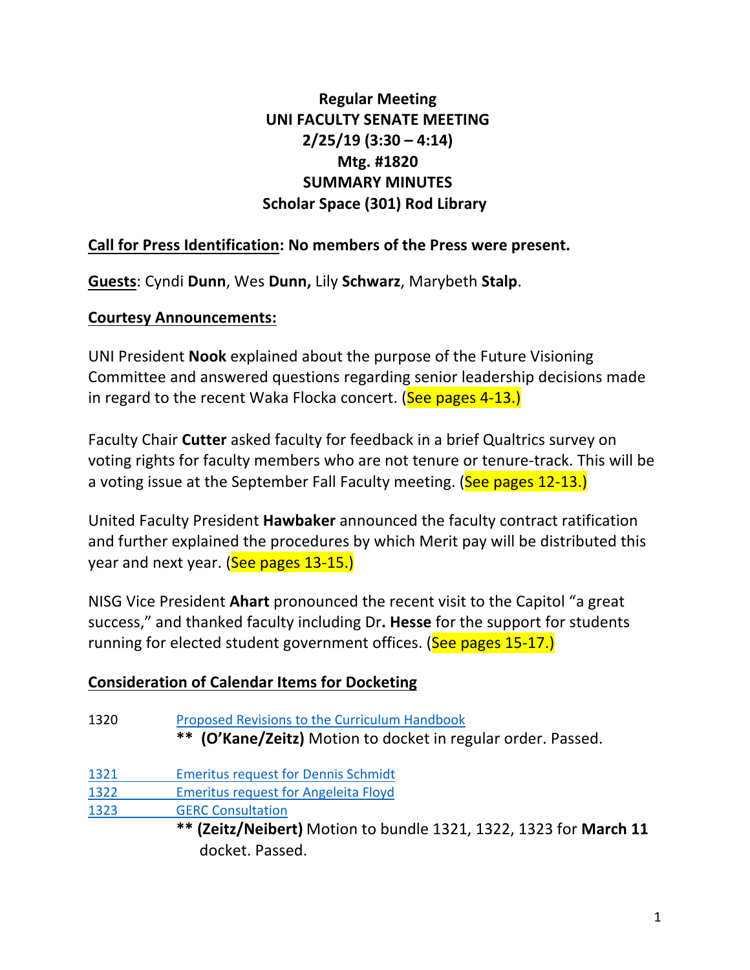# **Regular Meeting UNI FACULTY SENATE MEETING 2/25/19 (3:30 – 4:14) Mtg. #1820 SUMMARY MINUTES Scholar Space (301) Rod Library**

# Call for Press Identification: No members of the Press were present.

**Guests: Cyndi Dunn, Wes Dunn, Lily Schwarz, Marybeth Stalp.** 

# **Courtesy Announcements:**

UNI President **Nook** explained about the purpose of the Future Visioning Committee and answered questions regarding senior leadership decisions made in regard to the recent Waka Flocka concert. (See pages  $4-13$ .)

Faculty Chair **Cutter** asked faculty for feedback in a brief Qualtrics survey on voting rights for faculty members who are not tenure or tenure-track. This will be a voting issue at the September Fall Faculty meeting. (See pages 12-13.)

United Faculty President **Hawbaker** announced the faculty contract ratification and further explained the procedures by which Merit pay will be distributed this year and next year. (See pages 13-15.)

NISG Vice President **Ahart** pronounced the recent visit to the Capitol "a great success," and thanked faculty including Dr. Hesse for the support for students running for elected student government offices. (See pages 15-17.)

# **Consideration of Calendar Items for Docketing**

| 1320 | Proposed Revisions to the Curriculum Handbook<br>** (O'Kane/Zeitz) Motion to docket in regular order. Passed. |
|------|---------------------------------------------------------------------------------------------------------------|
| 1321 | <b>Emeritus request for Dennis Schmidt</b>                                                                    |
| 1322 | <b>Emeritus request for Angeleita Floyd</b>                                                                   |
| 1323 | <b>GERC Consultation</b>                                                                                      |
|      | ** (Zeitz/Neibert) Motion to bundle 1321, 1322, 1323 for March 11<br>docket. Passed.                          |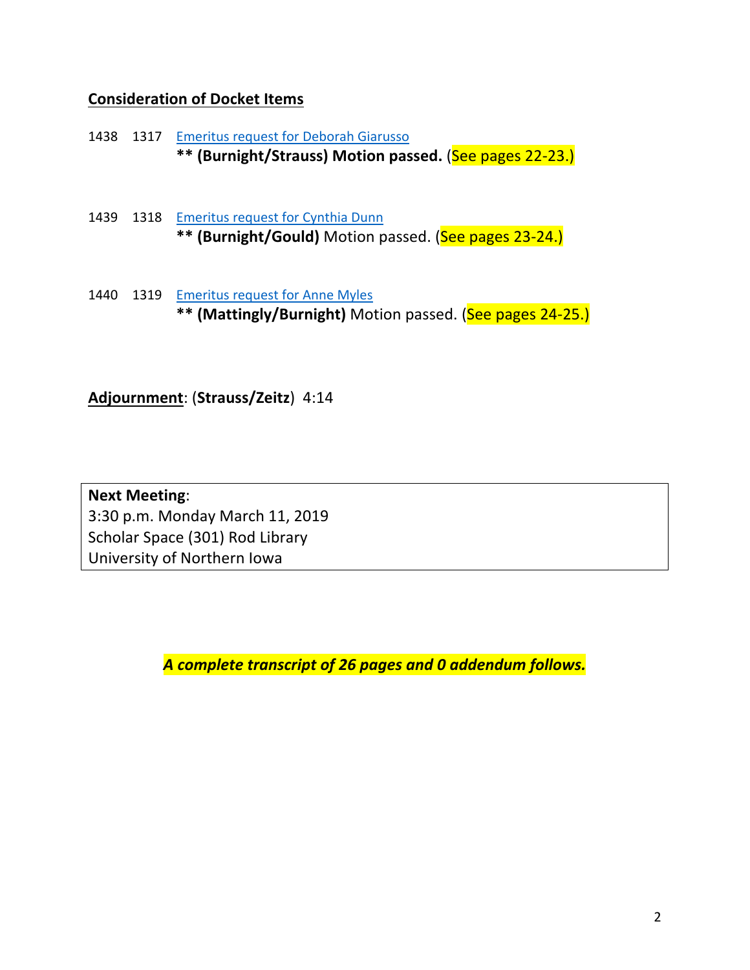# **Consideration of Docket Items**

1438 1317 Emeritus request for Deborah Giarusso **\*\*** (Burnight/Strauss) Motion passed. (See pages 22-23.)

- 1439 1318 Emeritus request for Cynthia Dunn \*\* (Burnight/Gould) Motion passed. (See pages 23-24.)
- 1440 1319 Emeritus request for Anne Myles \*\* (Mattingly/Burnight) Motion passed. (See pages 24-25.)

**Adjournment:** (Strauss/Zeitz) 4:14

**Next Meeting**: 3:30 p.m. Monday March 11, 2019 Scholar Space (301) Rod Library University of Northern Iowa

*A complete transcript of 26 pages and 0 addendum follows.*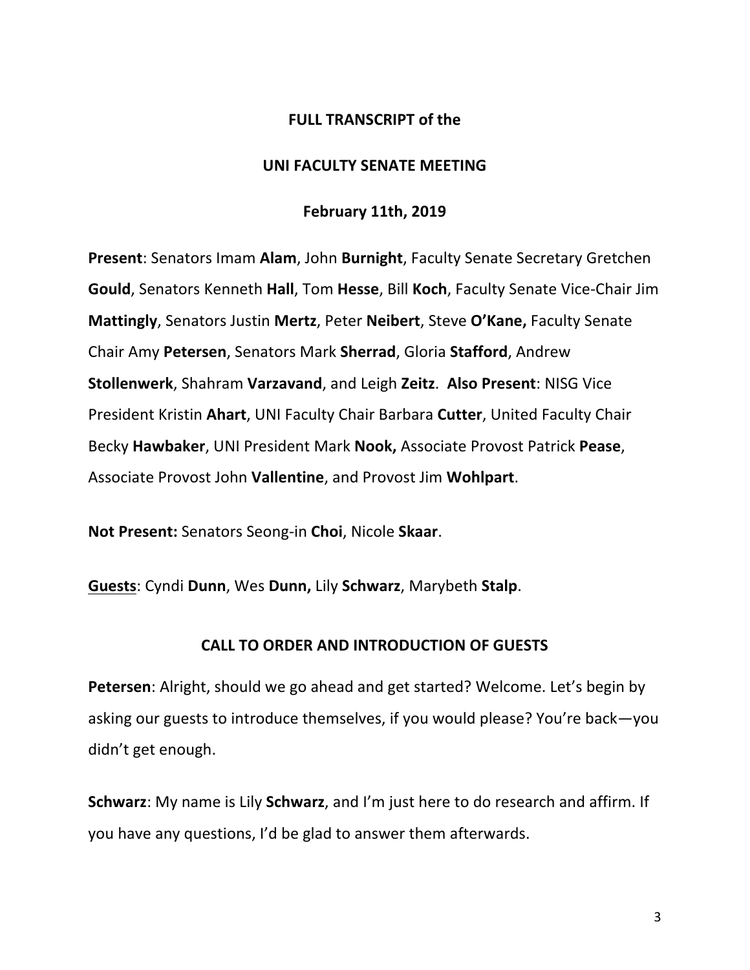## **FULL TRANSCRIPT of the**

#### **UNI FACULTY SENATE MEETING**

#### **February 11th, 2019**

**Present:** Senators Imam Alam, John Burnight, Faculty Senate Secretary Gretchen **Gould**, Senators Kenneth **Hall**, Tom Hesse, Bill Koch, Faculty Senate Vice-Chair Jim **Mattingly**, Senators Justin Mertz, Peter Neibert, Steve O'Kane, Faculty Senate Chair Amy **Petersen**, Senators Mark **Sherrad**, Gloria **Stafford**, Andrew **Stollenwerk**, Shahram Varzavand, and Leigh Zeitz. Also Present: NISG Vice President Kristin Ahart, UNI Faculty Chair Barbara **Cutter**, United Faculty Chair Becky **Hawbaker**, UNI President Mark **Nook,** Associate Provost Patrick **Pease**, Associate Provost John Vallentine, and Provost Jim Wohlpart.

**Not Present:** Senators Seong-in Choi, Nicole Skaar.

**Guests: Cyndi Dunn, Wes Dunn, Lily Schwarz, Marybeth Stalp.** 

### **CALL TO ORDER AND INTRODUCTION OF GUESTS**

**Petersen:** Alright, should we go ahead and get started? Welcome. Let's begin by asking our guests to introduce themselves, if you would please? You're back—you didn't get enough.

**Schwarz**: My name is Lily **Schwarz**, and I'm just here to do research and affirm. If you have any questions, I'd be glad to answer them afterwards.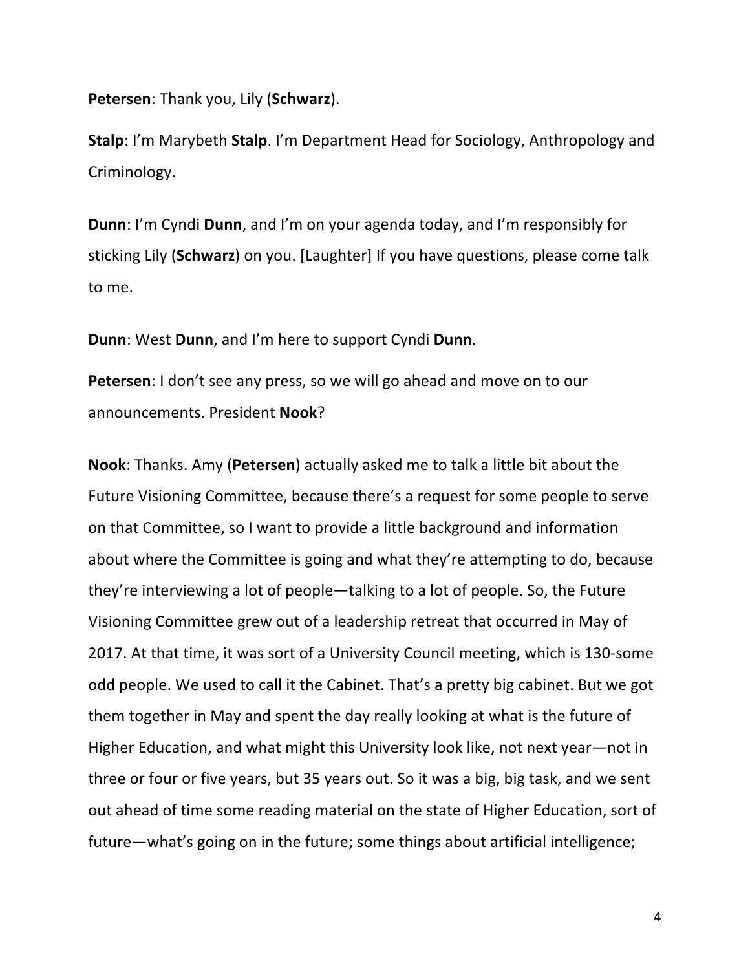**Petersen:** Thank you, Lily (**Schwarz**).

**Stalp**: I'm Marybeth **Stalp**. I'm Department Head for Sociology, Anthropology and Criminology.

**Dunn**: I'm Cyndi Dunn, and I'm on your agenda today, and I'm responsibly for sticking Lily (**Schwarz**) on you. [Laughter] If you have questions, please come talk to me.

**Dunn**: West **Dunn**, and I'm here to support Cyndi **Dunn**.

**Petersen**: I don't see any press, so we will go ahead and move on to our announcements. President **Nook**?

**Nook:** Thanks. Amy (**Petersen**) actually asked me to talk a little bit about the Future Visioning Committee, because there's a request for some people to serve on that Committee, so I want to provide a little background and information about where the Committee is going and what they're attempting to do, because they're interviewing a lot of people—talking to a lot of people. So, the Future Visioning Committee grew out of a leadership retreat that occurred in May of 2017. At that time, it was sort of a University Council meeting, which is 130-some odd people. We used to call it the Cabinet. That's a pretty big cabinet. But we got them together in May and spent the day really looking at what is the future of Higher Education, and what might this University look like, not next year—not in three or four or five years, but 35 years out. So it was a big, big task, and we sent out ahead of time some reading material on the state of Higher Education, sort of future—what's going on in the future; some things about artificial intelligence;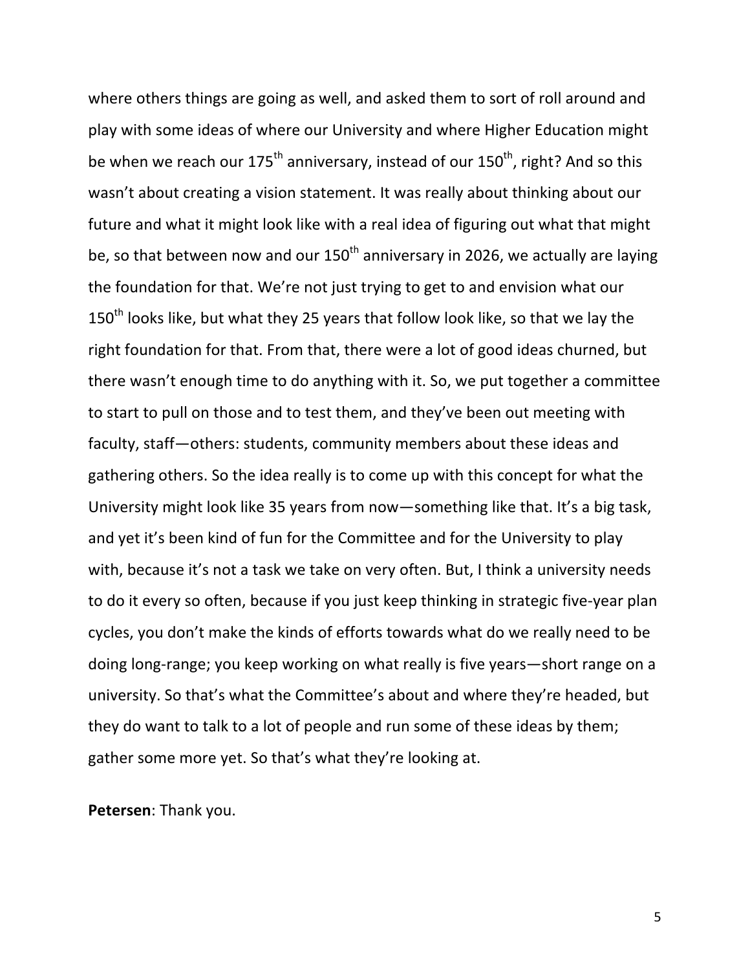where others things are going as well, and asked them to sort of roll around and play with some ideas of where our University and where Higher Education might be when we reach our  $175^{th}$  anniversary, instead of our  $150^{th}$ , right? And so this wasn't about creating a vision statement. It was really about thinking about our future and what it might look like with a real idea of figuring out what that might be, so that between now and our  $150<sup>th</sup>$  anniversary in 2026, we actually are laying the foundation for that. We're not just trying to get to and envision what our  $150<sup>th</sup>$  looks like, but what they 25 years that follow look like, so that we lay the right foundation for that. From that, there were a lot of good ideas churned, but there wasn't enough time to do anything with it. So, we put together a committee to start to pull on those and to test them, and they've been out meeting with faculty, staff-others: students, community members about these ideas and gathering others. So the idea really is to come up with this concept for what the University might look like 35 years from now—something like that. It's a big task, and yet it's been kind of fun for the Committee and for the University to play with, because it's not a task we take on very often. But, I think a university needs to do it every so often, because if you just keep thinking in strategic five-year plan cycles, you don't make the kinds of efforts towards what do we really need to be doing long-range; you keep working on what really is five years-short range on a university. So that's what the Committee's about and where they're headed, but they do want to talk to a lot of people and run some of these ideas by them; gather some more yet. So that's what they're looking at.

**Petersen:** Thank you.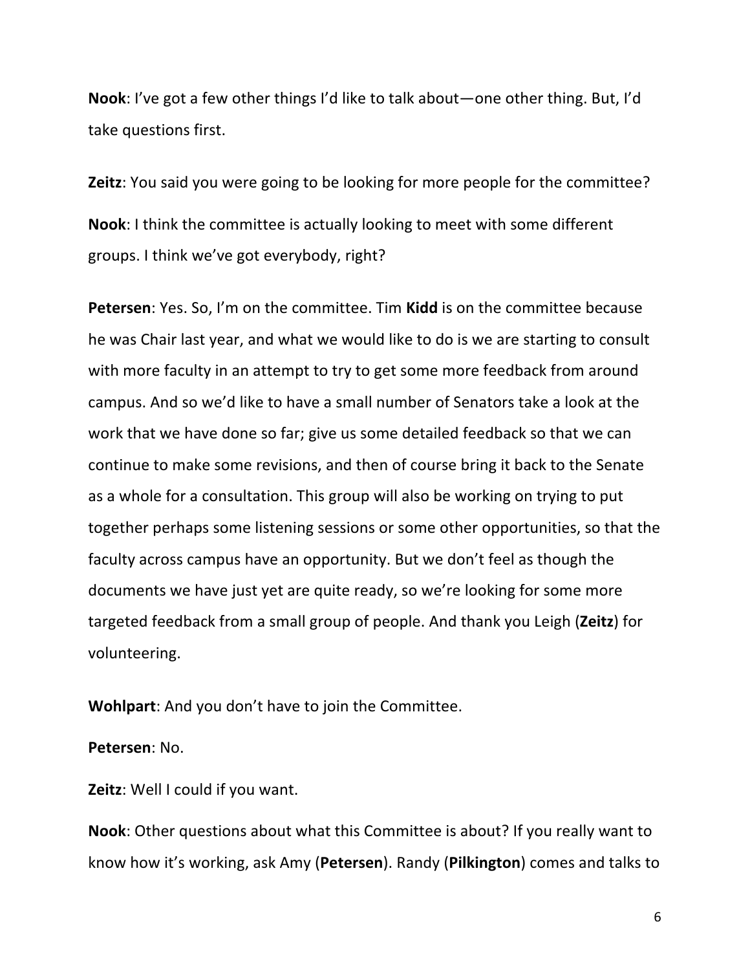**Nook**: I've got a few other things I'd like to talk about—one other thing. But, I'd take questions first.

**Zeitz**: You said you were going to be looking for more people for the committee? **Nook:** I think the committee is actually looking to meet with some different groups. I think we've got everybody, right?

**Petersen**: Yes. So, I'm on the committee. Tim Kidd is on the committee because he was Chair last year, and what we would like to do is we are starting to consult with more faculty in an attempt to try to get some more feedback from around campus. And so we'd like to have a small number of Senators take a look at the work that we have done so far; give us some detailed feedback so that we can continue to make some revisions, and then of course bring it back to the Senate as a whole for a consultation. This group will also be working on trying to put together perhaps some listening sessions or some other opportunities, so that the faculty across campus have an opportunity. But we don't feel as though the documents we have just yet are quite ready, so we're looking for some more targeted feedback from a small group of people. And thank you Leigh (Zeitz) for volunteering. 

**Wohlpart:** And you don't have to join the Committee.

**Petersen:** No.

**Zeitz**: Well I could if you want.

**Nook**: Other questions about what this Committee is about? If you really want to know how it's working, ask Amy (**Petersen**). Randy (**Pilkington**) comes and talks to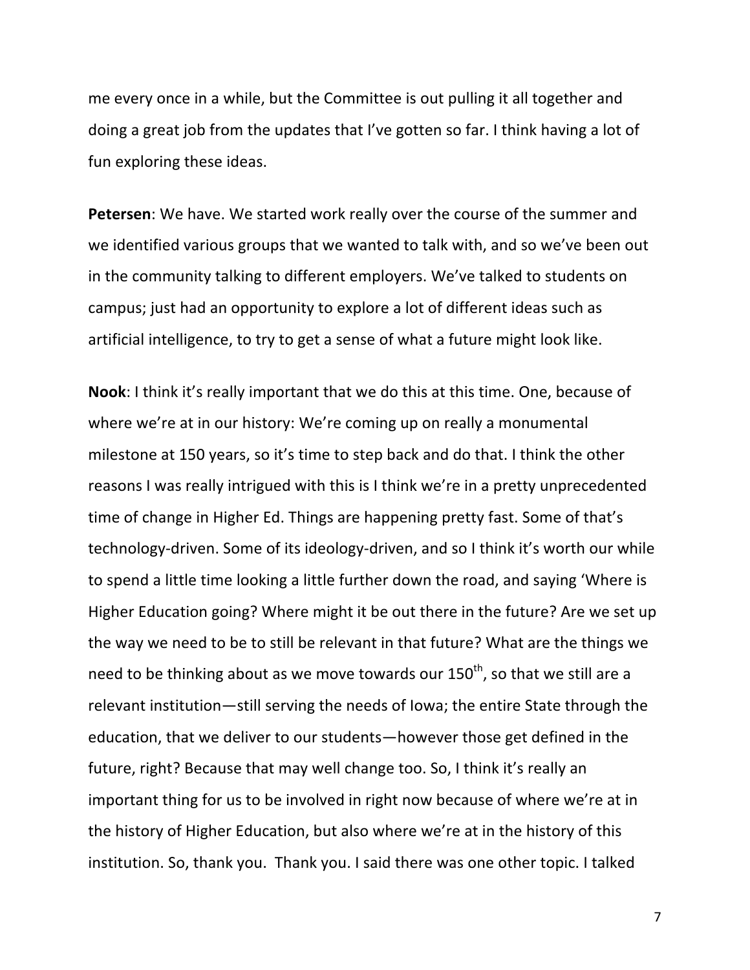me every once in a while, but the Committee is out pulling it all together and doing a great job from the updates that I've gotten so far. I think having a lot of fun exploring these ideas.

**Petersen**: We have. We started work really over the course of the summer and we identified various groups that we wanted to talk with, and so we've been out in the community talking to different employers. We've talked to students on campus; just had an opportunity to explore a lot of different ideas such as artificial intelligence, to try to get a sense of what a future might look like.

**Nook**: I think it's really important that we do this at this time. One, because of where we're at in our history: We're coming up on really a monumental milestone at 150 years, so it's time to step back and do that. I think the other reasons I was really intrigued with this is I think we're in a pretty unprecedented time of change in Higher Ed. Things are happening pretty fast. Some of that's technology-driven. Some of its ideology-driven, and so I think it's worth our while to spend a little time looking a little further down the road, and saying 'Where is Higher Education going? Where might it be out there in the future? Are we set up the way we need to be to still be relevant in that future? What are the things we need to be thinking about as we move towards our  $150^{th}$ , so that we still are a relevant institution—still serving the needs of lowa; the entire State through the education, that we deliver to our students—however those get defined in the future, right? Because that may well change too. So, I think it's really an important thing for us to be involved in right now because of where we're at in the history of Higher Education, but also where we're at in the history of this institution. So, thank you. Thank you. I said there was one other topic. I talked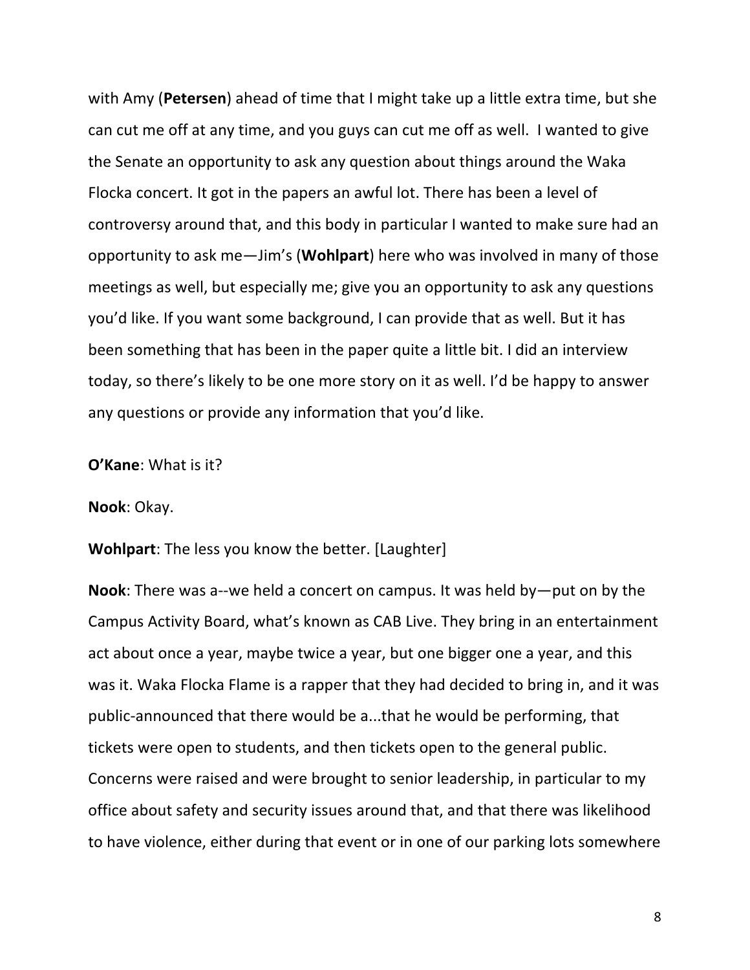with Amy (Petersen) ahead of time that I might take up a little extra time, but she can cut me off at any time, and you guys can cut me off as well. I wanted to give the Senate an opportunity to ask any question about things around the Waka Flocka concert. It got in the papers an awful lot. There has been a level of controversy around that, and this body in particular I wanted to make sure had an opportunity to ask me—Jim's (**Wohlpart**) here who was involved in many of those meetings as well, but especially me; give you an opportunity to ask any questions you'd like. If you want some background, I can provide that as well. But it has been something that has been in the paper quite a little bit. I did an interview today, so there's likely to be one more story on it as well. I'd be happy to answer any questions or provide any information that you'd like.

**O'Kane:** What is it?

**Nook: Okay.** 

**Wohlpart:** The less you know the better. [Laughter]

**Nook**: There was a--we held a concert on campus. It was held by—put on by the Campus Activity Board, what's known as CAB Live. They bring in an entertainment act about once a year, maybe twice a year, but one bigger one a year, and this was it. Waka Flocka Flame is a rapper that they had decided to bring in, and it was public-announced that there would be a...that he would be performing, that tickets were open to students, and then tickets open to the general public. Concerns were raised and were brought to senior leadership, in particular to my office about safety and security issues around that, and that there was likelihood to have violence, either during that event or in one of our parking lots somewhere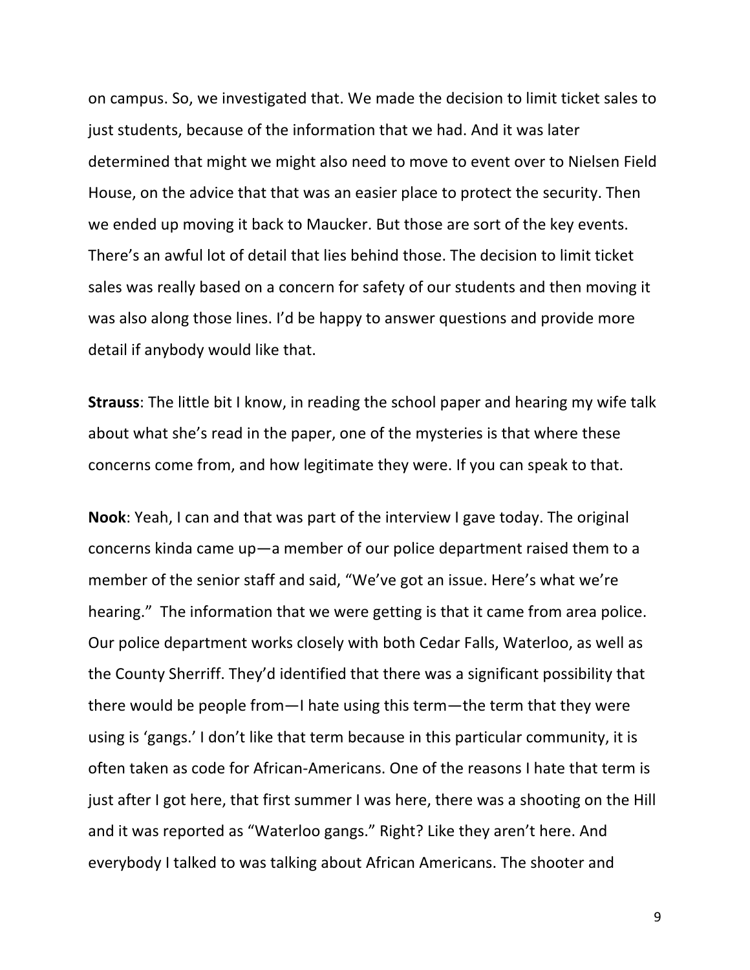on campus. So, we investigated that. We made the decision to limit ticket sales to just students, because of the information that we had. And it was later determined that might we might also need to move to event over to Nielsen Field House, on the advice that that was an easier place to protect the security. Then we ended up moving it back to Maucker. But those are sort of the key events. There's an awful lot of detail that lies behind those. The decision to limit ticket sales was really based on a concern for safety of our students and then moving it was also along those lines. I'd be happy to answer questions and provide more detail if anybody would like that.

**Strauss**: The little bit I know, in reading the school paper and hearing my wife talk about what she's read in the paper, one of the mysteries is that where these concerns come from, and how legitimate they were. If you can speak to that.

**Nook**: Yeah, I can and that was part of the interview I gave today. The original concerns kinda came  $up-a$  member of our police department raised them to a member of the senior staff and said, "We've got an issue. Here's what we're hearing." The information that we were getting is that it came from area police. Our police department works closely with both Cedar Falls, Waterloo, as well as the County Sherriff. They'd identified that there was a significant possibility that there would be people from—I hate using this term—the term that they were using is 'gangs.' I don't like that term because in this particular community, it is often taken as code for African-Americans. One of the reasons I hate that term is just after I got here, that first summer I was here, there was a shooting on the Hill and it was reported as "Waterloo gangs." Right? Like they aren't here. And everybody I talked to was talking about African Americans. The shooter and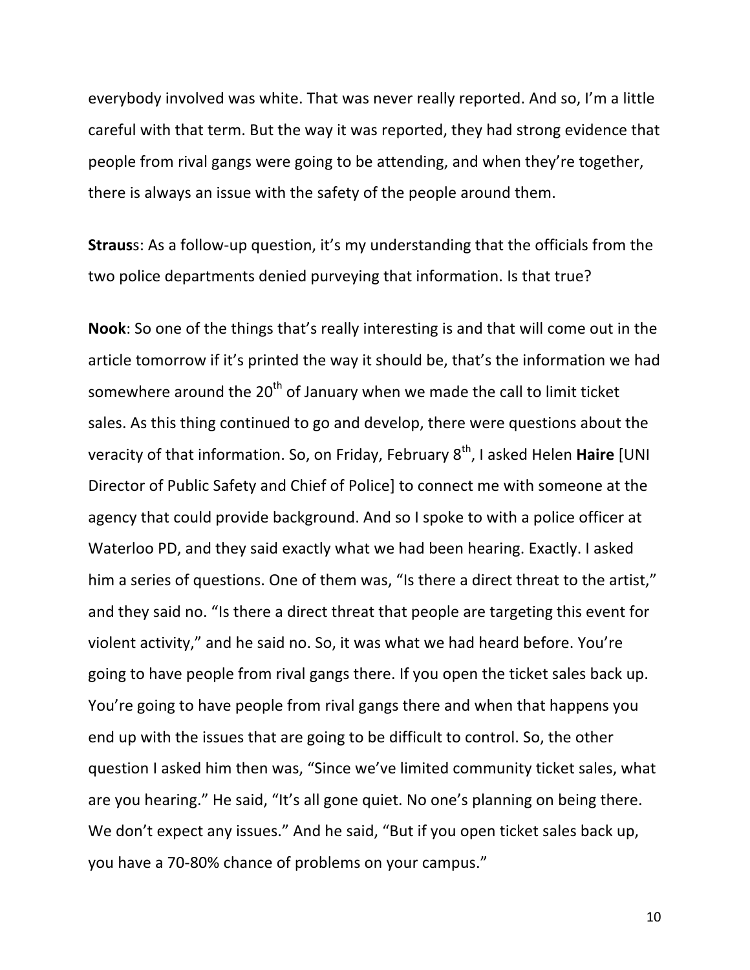everybody involved was white. That was never really reported. And so, I'm a little careful with that term. But the way it was reported, they had strong evidence that people from rival gangs were going to be attending, and when they're together, there is always an issue with the safety of the people around them.

**Straus**s: As a follow-up question, it's my understanding that the officials from the two police departments denied purveying that information. Is that true?

**Nook**: So one of the things that's really interesting is and that will come out in the article tomorrow if it's printed the way it should be, that's the information we had somewhere around the  $20<sup>th</sup>$  of January when we made the call to limit ticket sales. As this thing continued to go and develop, there were questions about the veracity of that information. So, on Friday, February 8<sup>th</sup>, I asked Helen **Haire** [UNI Director of Public Safety and Chief of Police] to connect me with someone at the agency that could provide background. And so I spoke to with a police officer at Waterloo PD, and they said exactly what we had been hearing. Exactly. I asked him a series of questions. One of them was, "Is there a direct threat to the artist," and they said no. "Is there a direct threat that people are targeting this event for violent activity," and he said no. So, it was what we had heard before. You're going to have people from rival gangs there. If you open the ticket sales back up. You're going to have people from rival gangs there and when that happens you end up with the issues that are going to be difficult to control. So, the other question I asked him then was, "Since we've limited community ticket sales, what are you hearing." He said, "It's all gone quiet. No one's planning on being there. We don't expect any issues." And he said, "But if you open ticket sales back up, you have a 70-80% chance of problems on your campus."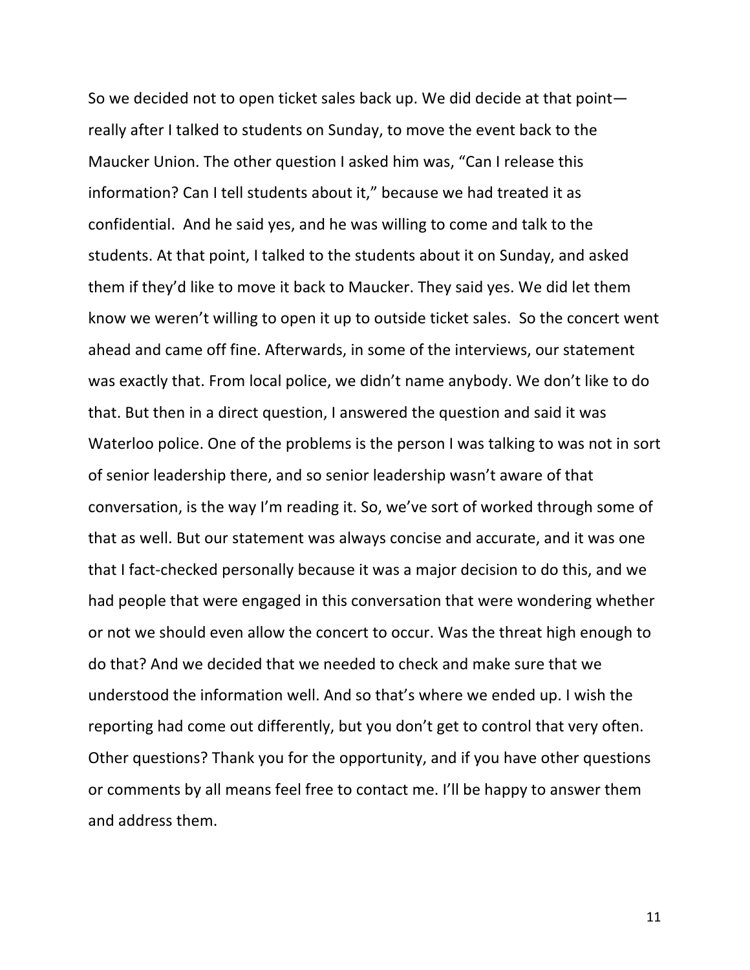So we decided not to open ticket sales back up. We did decide at that point really after I talked to students on Sunday, to move the event back to the Maucker Union. The other question I asked him was, "Can I release this information? Can I tell students about it," because we had treated it as confidential. And he said yes, and he was willing to come and talk to the students. At that point, I talked to the students about it on Sunday, and asked them if they'd like to move it back to Maucker. They said yes. We did let them know we weren't willing to open it up to outside ticket sales. So the concert went ahead and came off fine. Afterwards, in some of the interviews, our statement was exactly that. From local police, we didn't name anybody. We don't like to do that. But then in a direct question, I answered the question and said it was Waterloo police. One of the problems is the person I was talking to was not in sort of senior leadership there, and so senior leadership wasn't aware of that conversation, is the way I'm reading it. So, we've sort of worked through some of that as well. But our statement was always concise and accurate, and it was one that I fact-checked personally because it was a major decision to do this, and we had people that were engaged in this conversation that were wondering whether or not we should even allow the concert to occur. Was the threat high enough to do that? And we decided that we needed to check and make sure that we understood the information well. And so that's where we ended up. I wish the reporting had come out differently, but you don't get to control that very often. Other questions? Thank you for the opportunity, and if you have other questions or comments by all means feel free to contact me. I'll be happy to answer them and address them.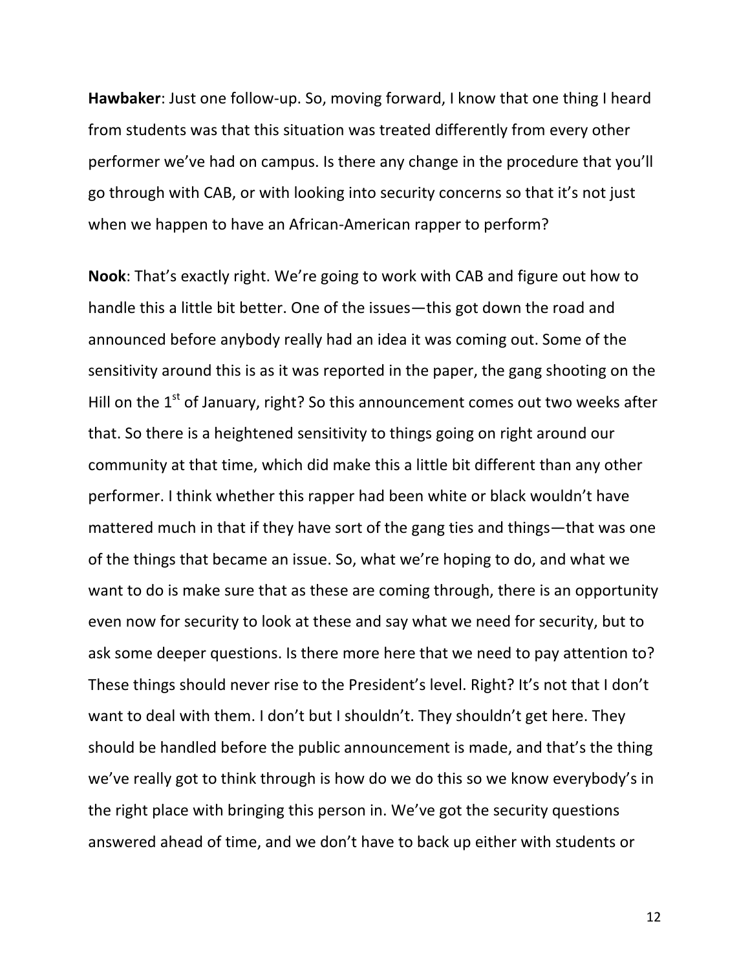**Hawbaker**: Just one follow-up. So, moving forward, I know that one thing I heard from students was that this situation was treated differently from every other performer we've had on campus. Is there any change in the procedure that you'll go through with CAB, or with looking into security concerns so that it's not just when we happen to have an African-American rapper to perform?

**Nook:** That's exactly right. We're going to work with CAB and figure out how to handle this a little bit better. One of the issues—this got down the road and announced before anybody really had an idea it was coming out. Some of the sensitivity around this is as it was reported in the paper, the gang shooting on the Hill on the  $1^{st}$  of January, right? So this announcement comes out two weeks after that. So there is a heightened sensitivity to things going on right around our community at that time, which did make this a little bit different than any other performer. I think whether this rapper had been white or black wouldn't have mattered much in that if they have sort of the gang ties and things—that was one of the things that became an issue. So, what we're hoping to do, and what we want to do is make sure that as these are coming through, there is an opportunity even now for security to look at these and say what we need for security, but to ask some deeper questions. Is there more here that we need to pay attention to? These things should never rise to the President's level. Right? It's not that I don't want to deal with them. I don't but I shouldn't. They shouldn't get here. They should be handled before the public announcement is made, and that's the thing we've really got to think through is how do we do this so we know everybody's in the right place with bringing this person in. We've got the security questions answered ahead of time, and we don't have to back up either with students or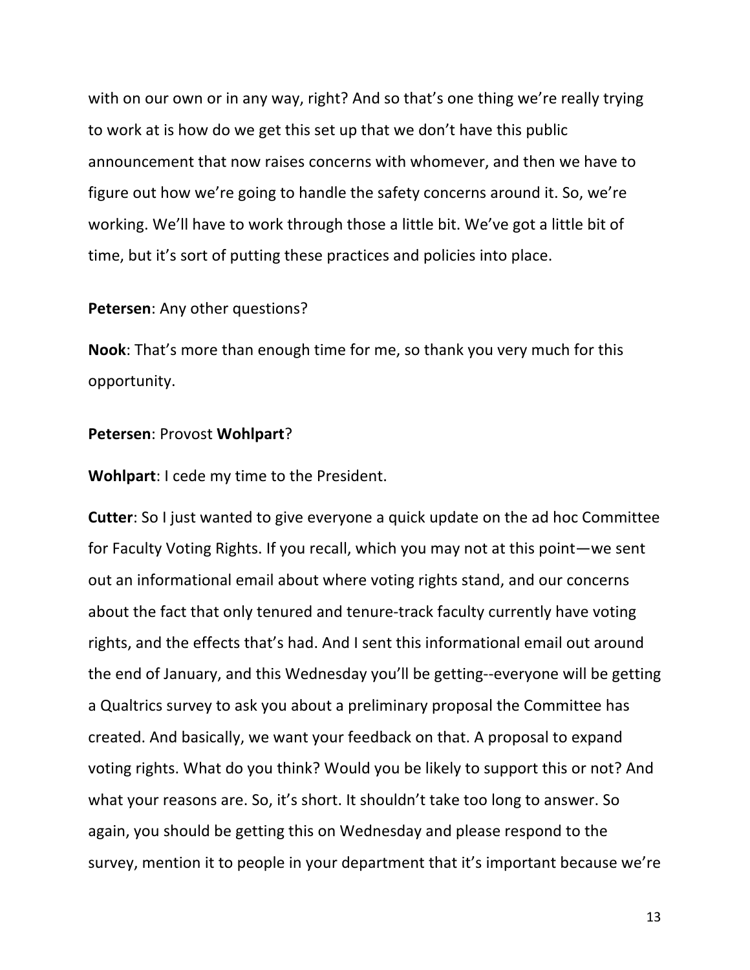with on our own or in any way, right? And so that's one thing we're really trying to work at is how do we get this set up that we don't have this public announcement that now raises concerns with whomever, and then we have to figure out how we're going to handle the safety concerns around it. So, we're working. We'll have to work through those a little bit. We've got a little bit of time, but it's sort of putting these practices and policies into place.

#### **Petersen:** Any other questions?

**Nook**: That's more than enough time for me, so thank you very much for this opportunity.

## **Petersen**: Provost **Wohlpart**?

**Wohlpart:** I cede my time to the President.

**Cutter**: So I just wanted to give everyone a quick update on the ad hoc Committee for Faculty Voting Rights. If you recall, which you may not at this point—we sent out an informational email about where voting rights stand, and our concerns about the fact that only tenured and tenure-track faculty currently have voting rights, and the effects that's had. And I sent this informational email out around the end of January, and this Wednesday you'll be getting--everyone will be getting a Qualtrics survey to ask you about a preliminary proposal the Committee has created. And basically, we want your feedback on that. A proposal to expand voting rights. What do you think? Would you be likely to support this or not? And what your reasons are. So, it's short. It shouldn't take too long to answer. So again, you should be getting this on Wednesday and please respond to the survey, mention it to people in your department that it's important because we're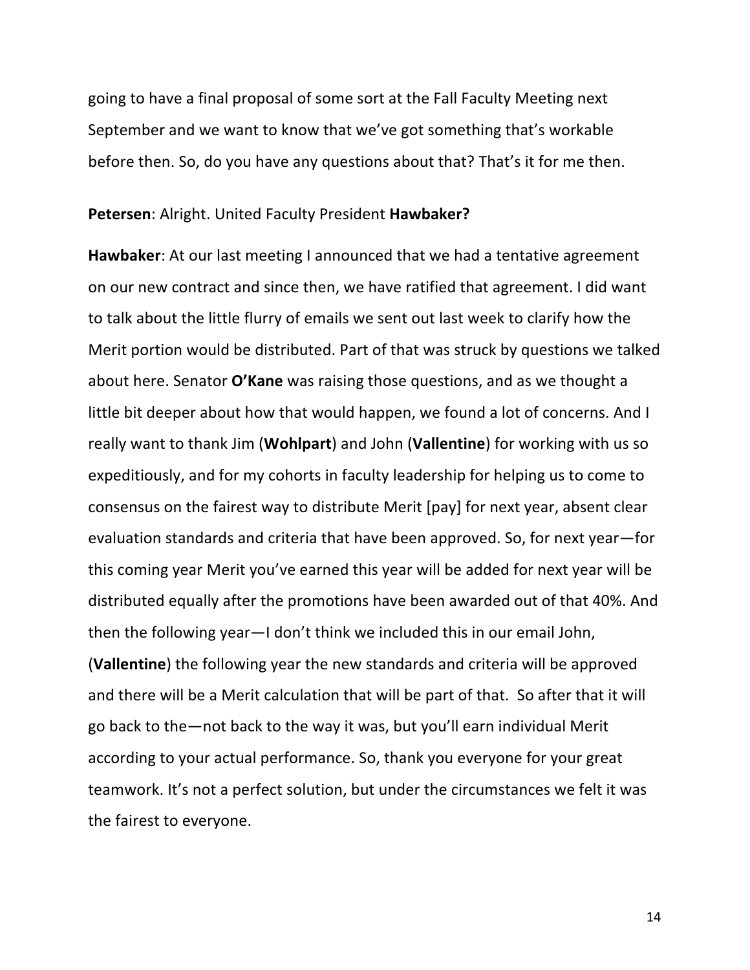going to have a final proposal of some sort at the Fall Faculty Meeting next September and we want to know that we've got something that's workable before then. So, do you have any questions about that? That's it for me then.

#### **Petersen**: Alright. United Faculty President **Hawbaker?**

**Hawbaker:** At our last meeting I announced that we had a tentative agreement on our new contract and since then, we have ratified that agreement. I did want to talk about the little flurry of emails we sent out last week to clarify how the Merit portion would be distributed. Part of that was struck by questions we talked about here. Senator **O'Kane** was raising those questions, and as we thought a little bit deeper about how that would happen, we found a lot of concerns. And I really want to thank Jim (**Wohlpart**) and John (**Vallentine**) for working with us so expeditiously, and for my cohorts in faculty leadership for helping us to come to consensus on the fairest way to distribute Merit [pay] for next year, absent clear evaluation standards and criteria that have been approved. So, for next year–for this coming year Merit you've earned this year will be added for next year will be distributed equally after the promotions have been awarded out of that 40%. And then the following year—I don't think we included this in our email John, **(Vallentine)** the following year the new standards and criteria will be approved and there will be a Merit calculation that will be part of that. So after that it will go back to the—not back to the way it was, but you'll earn individual Merit according to your actual performance. So, thank you everyone for your great teamwork. It's not a perfect solution, but under the circumstances we felt it was the fairest to everyone.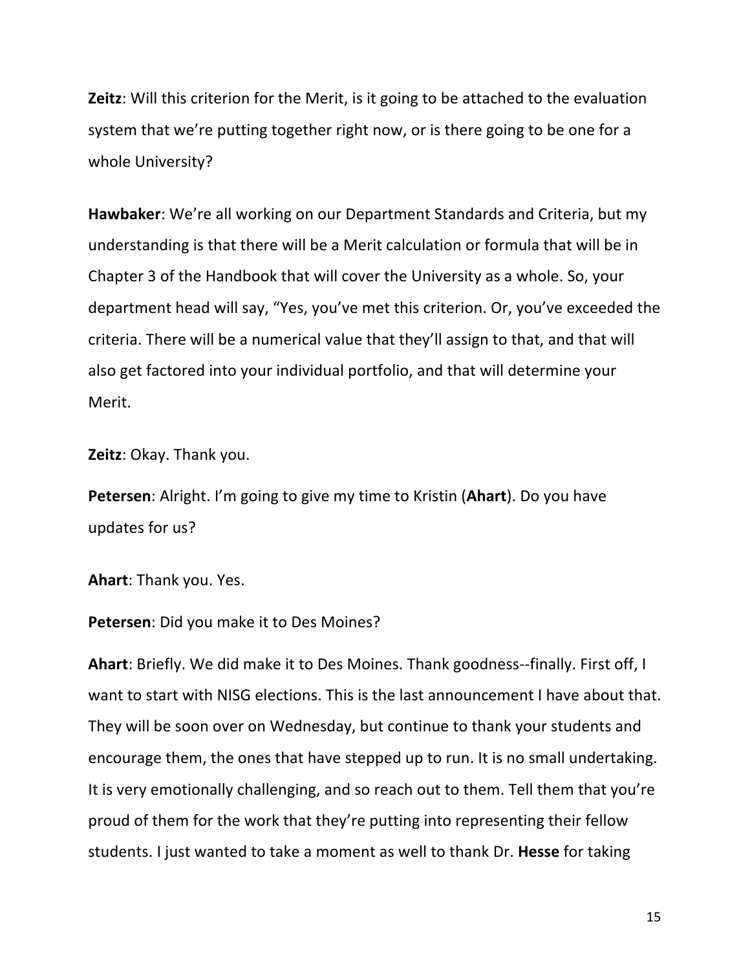**Zeitz**: Will this criterion for the Merit, is it going to be attached to the evaluation system that we're putting together right now, or is there going to be one for a whole University?

**Hawbaker:** We're all working on our Department Standards and Criteria, but my understanding is that there will be a Merit calculation or formula that will be in Chapter 3 of the Handbook that will cover the University as a whole. So, your department head will say, "Yes, you've met this criterion. Or, you've exceeded the criteria. There will be a numerical value that they'll assign to that, and that will also get factored into your individual portfolio, and that will determine your Merit.

**Zeitz**: Okay. Thank you.

**Petersen**: Alright. I'm going to give my time to Kristin (Ahart). Do you have updates for us?

**Ahart:** Thank you. Yes.

**Petersen:** Did you make it to Des Moines?

**Ahart:** Briefly. We did make it to Des Moines. Thank goodness--finally. First off, I want to start with NISG elections. This is the last announcement I have about that. They will be soon over on Wednesday, but continue to thank your students and encourage them, the ones that have stepped up to run. It is no small undertaking. It is very emotionally challenging, and so reach out to them. Tell them that you're proud of them for the work that they're putting into representing their fellow students. I just wanted to take a moment as well to thank Dr. Hesse for taking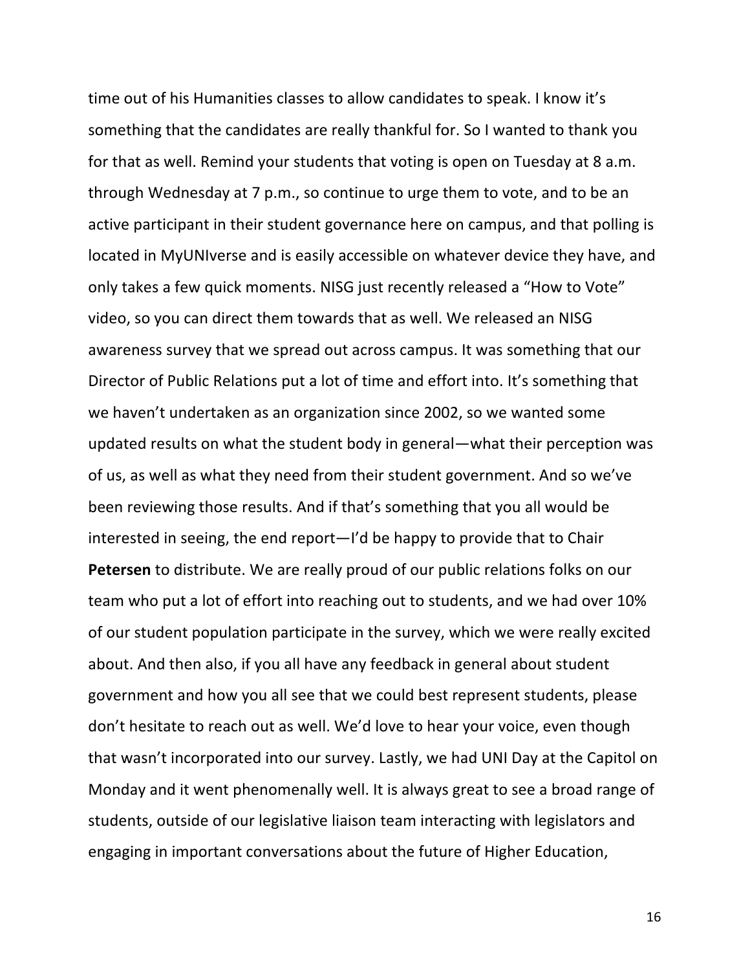time out of his Humanities classes to allow candidates to speak. I know it's something that the candidates are really thankful for. So I wanted to thank you for that as well. Remind your students that voting is open on Tuesday at 8 a.m. through Wednesday at 7 p.m., so continue to urge them to vote, and to be an active participant in their student governance here on campus, and that polling is located in MyUNIverse and is easily accessible on whatever device they have, and only takes a few quick moments. NISG just recently released a "How to Vote" video, so you can direct them towards that as well. We released an NISG awareness survey that we spread out across campus. It was something that our Director of Public Relations put a lot of time and effort into. It's something that we haven't undertaken as an organization since 2002, so we wanted some updated results on what the student body in general—what their perception was of us, as well as what they need from their student government. And so we've been reviewing those results. And if that's something that you all would be interested in seeing, the end report—I'd be happy to provide that to Chair **Petersen** to distribute. We are really proud of our public relations folks on our team who put a lot of effort into reaching out to students, and we had over 10% of our student population participate in the survey, which we were really excited about. And then also, if you all have any feedback in general about student government and how you all see that we could best represent students, please don't hesitate to reach out as well. We'd love to hear your voice, even though that wasn't incorporated into our survey. Lastly, we had UNI Day at the Capitol on Monday and it went phenomenally well. It is always great to see a broad range of students, outside of our legislative liaison team interacting with legislators and engaging in important conversations about the future of Higher Education,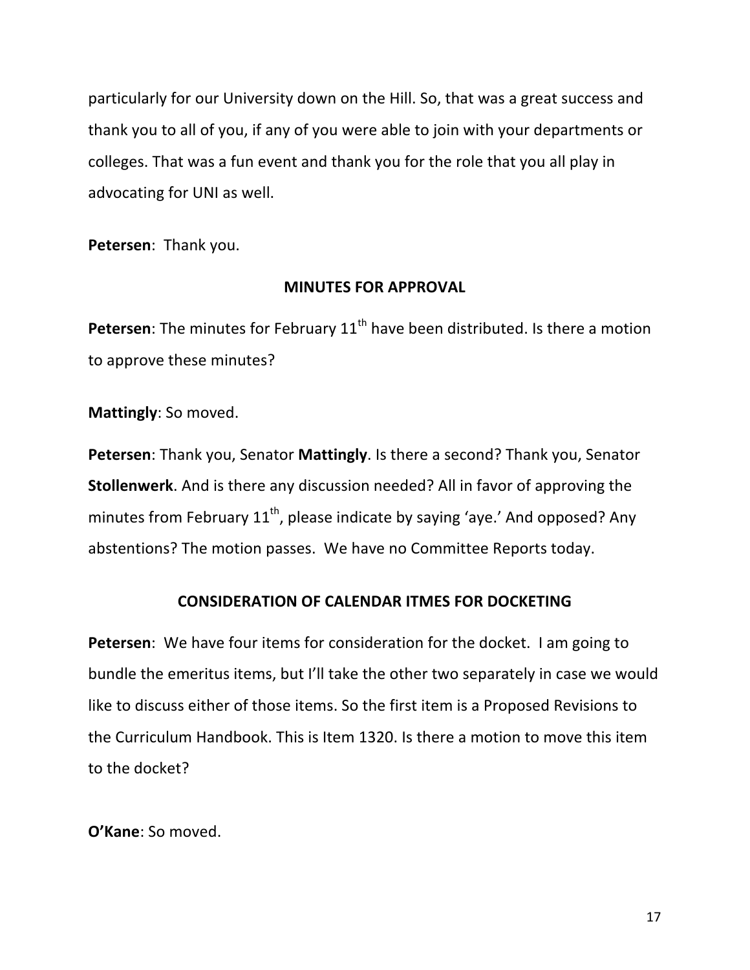particularly for our University down on the Hill. So, that was a great success and thank you to all of you, if any of you were able to join with your departments or colleges. That was a fun event and thank you for the role that you all play in advocating for UNI as well.

Petersen: Thank you.

# **MINUTES FOR APPROVAL**

**Petersen**: The minutes for February 11<sup>th</sup> have been distributed. Is there a motion to approve these minutes?

**Mattingly:** So moved.

**Petersen**: Thank you, Senator **Mattingly**. Is there a second? Thank you, Senator **Stollenwerk**. And is there any discussion needed? All in favor of approving the minutes from February  $11^{th}$ , please indicate by saying 'aye.' And opposed? Any abstentions? The motion passes. We have no Committee Reports today.

# **CONSIDERATION OF CALENDAR ITMES FOR DOCKETING**

**Petersen**: We have four items for consideration for the docket. I am going to bundle the emeritus items, but I'll take the other two separately in case we would like to discuss either of those items. So the first item is a Proposed Revisions to the Curriculum Handbook. This is Item 1320. Is there a motion to move this item to the docket?

**O'Kane:** So moved.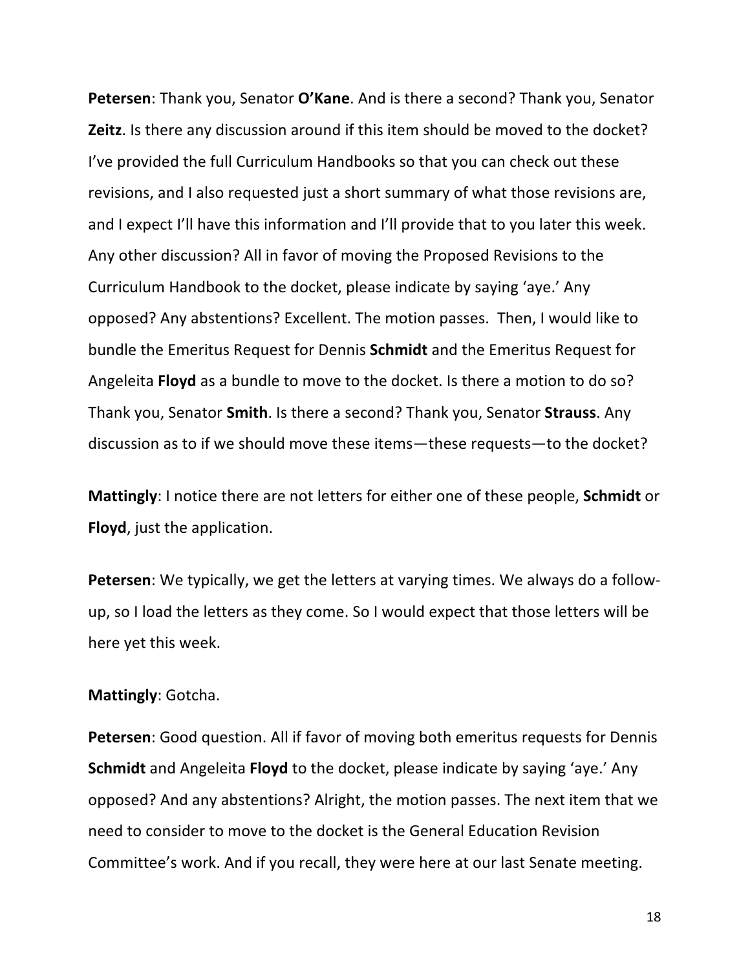**Petersen:** Thank you, Senator O'Kane. And is there a second? Thank you, Senator **Zeitz**. Is there any discussion around if this item should be moved to the docket? I've provided the full Curriculum Handbooks so that you can check out these revisions, and I also requested just a short summary of what those revisions are, and I expect I'll have this information and I'll provide that to you later this week. Any other discussion? All in favor of moving the Proposed Revisions to the Curriculum Handbook to the docket, please indicate by saying 'aye.' Any opposed? Any abstentions? Excellent. The motion passes. Then, I would like to bundle the Emeritus Request for Dennis **Schmidt** and the Emeritus Request for Angeleita **Floyd** as a bundle to move to the docket. Is there a motion to do so? Thank you, Senator **Smith**. Is there a second? Thank you, Senator **Strauss**. Any discussion as to if we should move these items—these requests—to the docket?

**Mattingly:** I notice there are not letters for either one of these people, **Schmidt** or **Floyd**, just the application.

**Petersen**: We typically, we get the letters at varying times. We always do a followup, so I load the letters as they come. So I would expect that those letters will be here yet this week.

#### **Mattingly: Gotcha.**

**Petersen:** Good question. All if favor of moving both emeritus requests for Dennis **Schmidt** and Angeleita **Floyd** to the docket, please indicate by saying 'aye.' Any opposed? And any abstentions? Alright, the motion passes. The next item that we need to consider to move to the docket is the General Education Revision Committee's work. And if you recall, they were here at our last Senate meeting.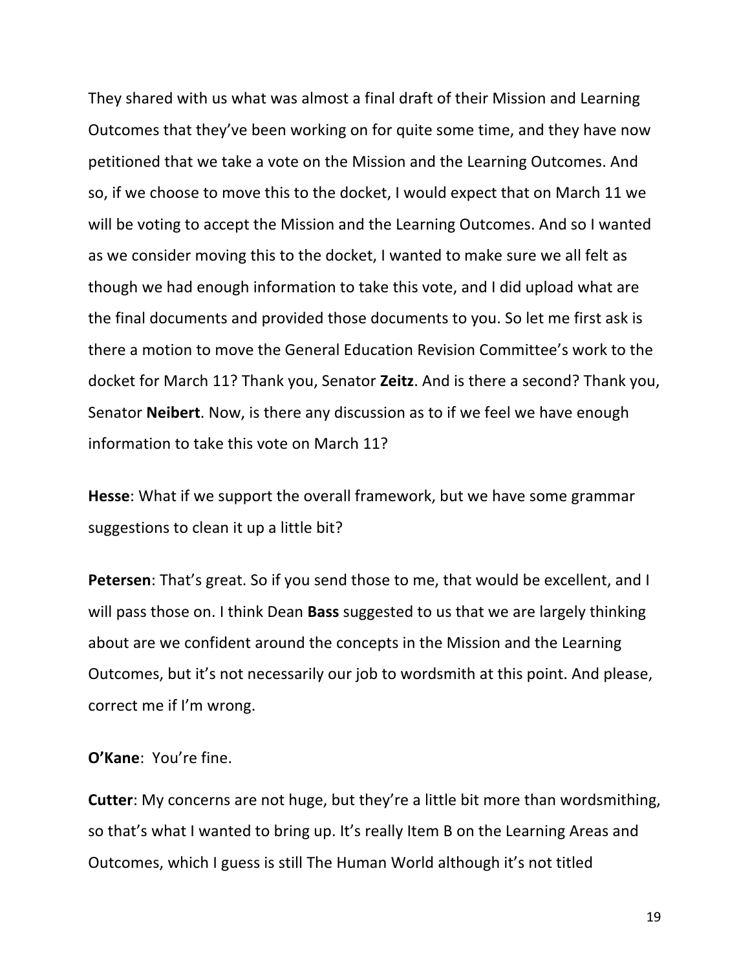They shared with us what was almost a final draft of their Mission and Learning Outcomes that they've been working on for quite some time, and they have now petitioned that we take a vote on the Mission and the Learning Outcomes. And so, if we choose to move this to the docket, I would expect that on March 11 we will be voting to accept the Mission and the Learning Outcomes. And so I wanted as we consider moving this to the docket, I wanted to make sure we all felt as though we had enough information to take this vote, and I did upload what are the final documents and provided those documents to you. So let me first ask is there a motion to move the General Education Revision Committee's work to the docket for March 11? Thank you, Senator **Zeitz**. And is there a second? Thank you, Senator **Neibert**. Now, is there any discussion as to if we feel we have enough information to take this vote on March 11?

**Hesse**: What if we support the overall framework, but we have some grammar suggestions to clean it up a little bit?

**Petersen**: That's great. So if you send those to me, that would be excellent, and I will pass those on. I think Dean **Bass** suggested to us that we are largely thinking about are we confident around the concepts in the Mission and the Learning Outcomes, but it's not necessarily our job to wordsmith at this point. And please, correct me if I'm wrong.

#### **O'Kane:** You're fine.

**Cutter**: My concerns are not huge, but they're a little bit more than wordsmithing, so that's what I wanted to bring up. It's really Item B on the Learning Areas and Outcomes, which I guess is still The Human World although it's not titled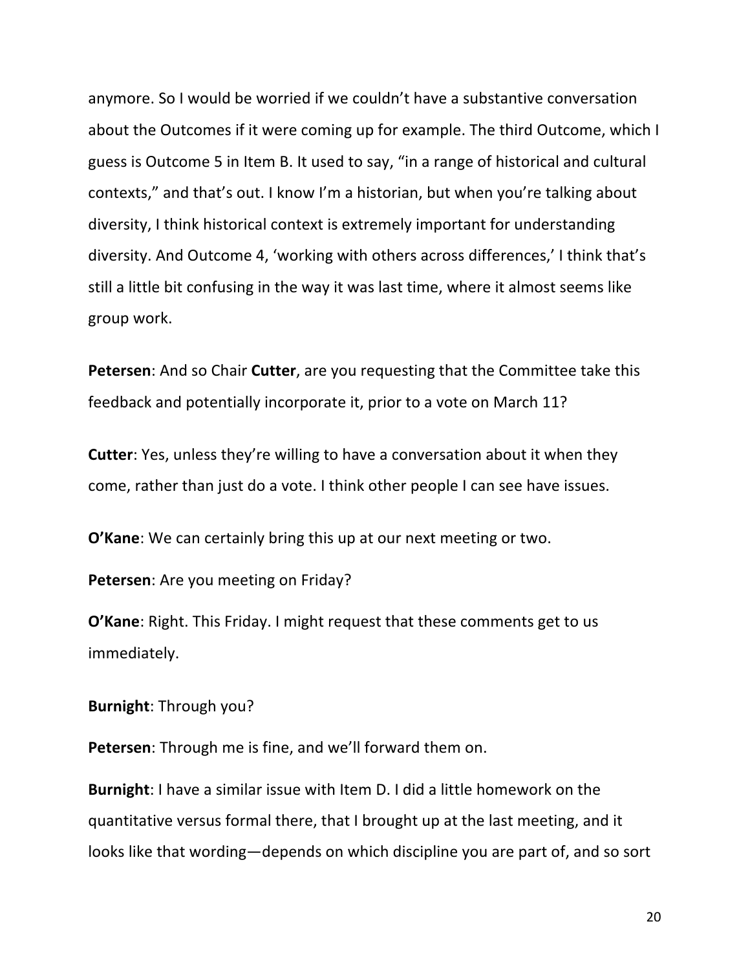anymore. So I would be worried if we couldn't have a substantive conversation about the Outcomes if it were coming up for example. The third Outcome, which I guess is Outcome 5 in Item B. It used to say, "in a range of historical and cultural contexts," and that's out. I know I'm a historian, but when you're talking about diversity, I think historical context is extremely important for understanding diversity. And Outcome 4, 'working with others across differences,' I think that's still a little bit confusing in the way it was last time, where it almost seems like group work.

**Petersen:** And so Chair **Cutter**, are you requesting that the Committee take this feedback and potentially incorporate it, prior to a vote on March 11?

**Cutter:** Yes, unless they're willing to have a conversation about it when they come, rather than just do a vote. I think other people I can see have issues.

**O'Kane:** We can certainly bring this up at our next meeting or two.

Petersen: Are you meeting on Friday?

**O'Kane:** Right. This Friday. I might request that these comments get to us immediately.

**Burnight:** Through you?

**Petersen:** Through me is fine, and we'll forward them on.

**Burnight**: I have a similar issue with Item D. I did a little homework on the quantitative versus formal there, that I brought up at the last meeting, and it looks like that wording—depends on which discipline you are part of, and so sort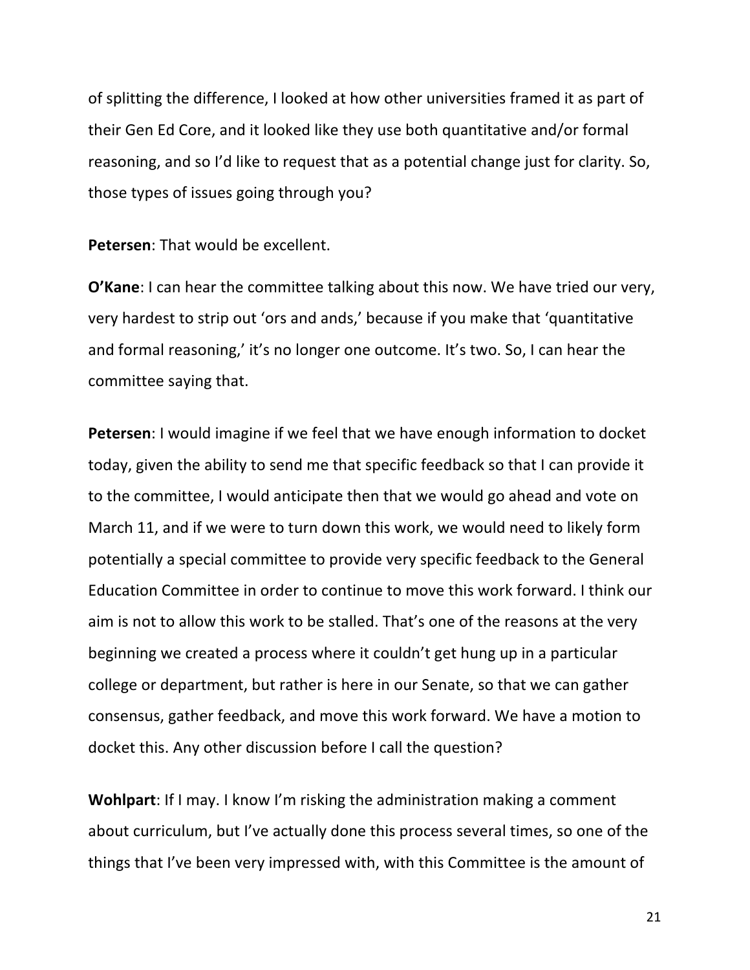of splitting the difference, I looked at how other universities framed it as part of their Gen Ed Core, and it looked like they use both quantitative and/or formal reasoning, and so I'd like to request that as a potential change just for clarity. So, those types of issues going through you?

**Petersen:** That would be excellent.

**O'Kane**: I can hear the committee talking about this now. We have tried our very, very hardest to strip out 'ors and ands,' because if you make that 'quantitative and formal reasoning,' it's no longer one outcome. It's two. So, I can hear the committee saying that.

**Petersen**: I would imagine if we feel that we have enough information to docket today, given the ability to send me that specific feedback so that I can provide it to the committee, I would anticipate then that we would go ahead and vote on March 11, and if we were to turn down this work, we would need to likely form potentially a special committee to provide very specific feedback to the General Education Committee in order to continue to move this work forward. I think our aim is not to allow this work to be stalled. That's one of the reasons at the very beginning we created a process where it couldn't get hung up in a particular college or department, but rather is here in our Senate, so that we can gather consensus, gather feedback, and move this work forward. We have a motion to docket this. Any other discussion before I call the question?

**Wohlpart**: If I may. I know I'm risking the administration making a comment about curriculum, but I've actually done this process several times, so one of the things that I've been very impressed with, with this Committee is the amount of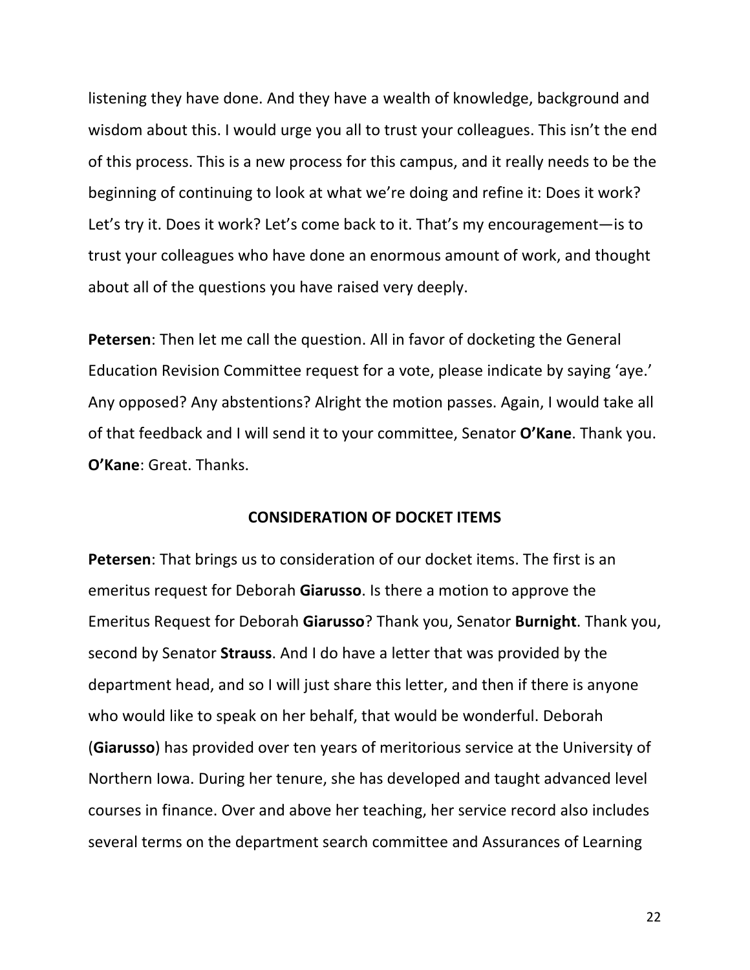listening they have done. And they have a wealth of knowledge, background and wisdom about this. I would urge you all to trust your colleagues. This isn't the end of this process. This is a new process for this campus, and it really needs to be the beginning of continuing to look at what we're doing and refine it: Does it work? Let's try it. Does it work? Let's come back to it. That's my encouragement—is to trust your colleagues who have done an enormous amount of work, and thought about all of the questions you have raised very deeply.

**Petersen:** Then let me call the question. All in favor of docketing the General Education Revision Committee request for a vote, please indicate by saying 'aye.' Any opposed? Any abstentions? Alright the motion passes. Again, I would take all of that feedback and I will send it to your committee, Senator O'Kane. Thank you. **O'Kane:** Great. Thanks.

#### **CONSIDERATION OF DOCKET ITEMS**

**Petersen**: That brings us to consideration of our docket items. The first is an emeritus request for Deborah **Giarusso**. Is there a motion to approve the Emeritus Request for Deborah Giarusso? Thank you, Senator Burnight. Thank you, second by Senator **Strauss**. And I do have a letter that was provided by the department head, and so I will just share this letter, and then if there is anyone who would like to speak on her behalf, that would be wonderful. Deborah **(Giarusso)** has provided over ten years of meritorious service at the University of Northern Iowa. During her tenure, she has developed and taught advanced level courses in finance. Over and above her teaching, her service record also includes several terms on the department search committee and Assurances of Learning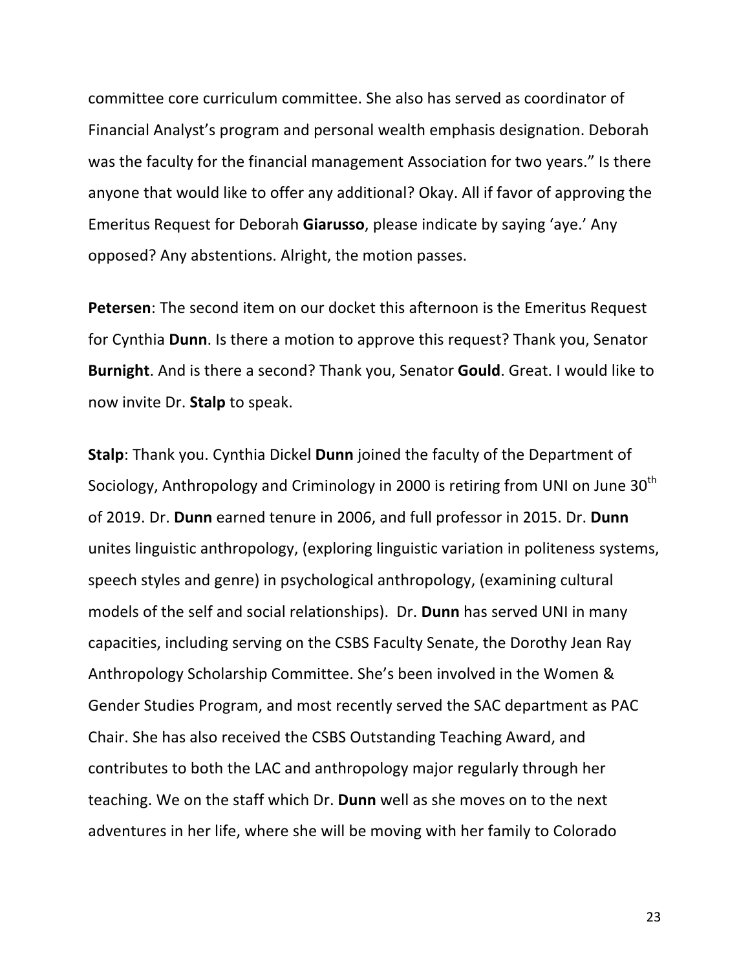committee core curriculum committee. She also has served as coordinator of Financial Analyst's program and personal wealth emphasis designation. Deborah was the faculty for the financial management Association for two years." Is there anyone that would like to offer any additional? Okay. All if favor of approving the Emeritus Request for Deborah Giarusso, please indicate by saying 'aye.' Any opposed? Any abstentions. Alright, the motion passes.

**Petersen**: The second item on our docket this afternoon is the Emeritus Request for Cynthia **Dunn**. Is there a motion to approve this request? Thank you, Senator **Burnight**. And is there a second? Thank you, Senator **Gould**. Great. I would like to now invite Dr. Stalp to speak.

**Stalp:** Thank you. Cynthia Dickel **Dunn** joined the faculty of the Department of Sociology, Anthropology and Criminology in 2000 is retiring from UNI on June 30<sup>th</sup> of 2019. Dr. **Dunn** earned tenure in 2006, and full professor in 2015. Dr. **Dunn** unites linguistic anthropology, (exploring linguistic variation in politeness systems, speech styles and genre) in psychological anthropology, (examining cultural models of the self and social relationships). Dr. **Dunn** has served UNI in many capacities, including serving on the CSBS Faculty Senate, the Dorothy Jean Ray Anthropology Scholarship Committee. She's been involved in the Women & Gender Studies Program, and most recently served the SAC department as PAC Chair. She has also received the CSBS Outstanding Teaching Award, and contributes to both the LAC and anthropology major regularly through her teaching. We on the staff which Dr. **Dunn** well as she moves on to the next adventures in her life, where she will be moving with her family to Colorado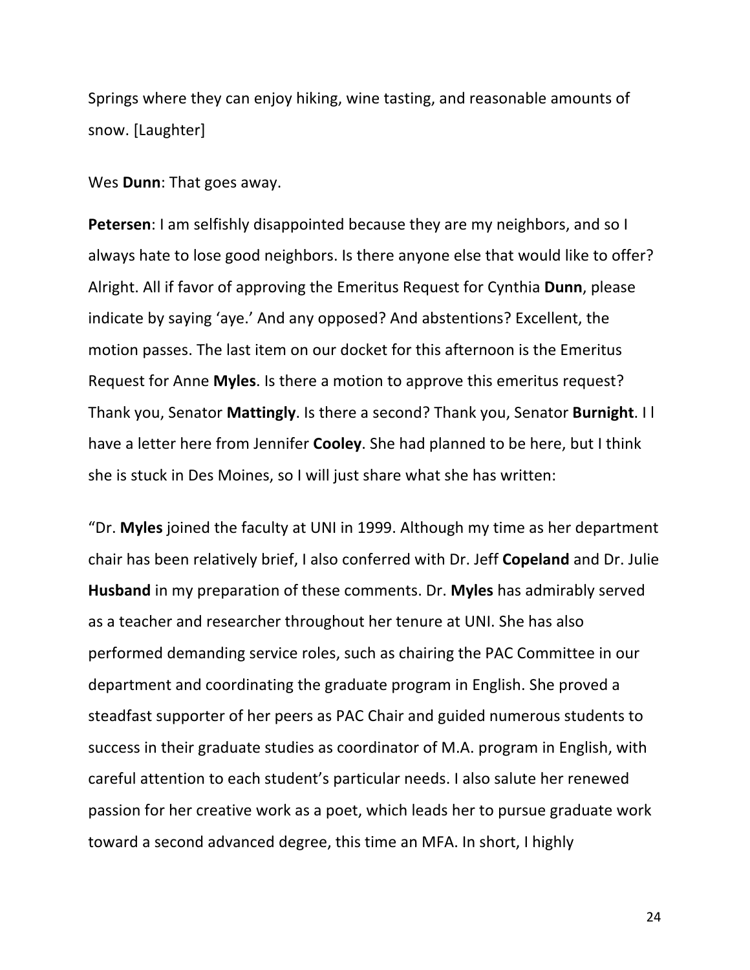Springs where they can enjoy hiking, wine tasting, and reasonable amounts of snow. [Laughter]

Wes **Dunn**: That goes away.

**Petersen**: I am selfishly disappointed because they are my neighbors, and so I always hate to lose good neighbors. Is there anyone else that would like to offer? Alright. All if favor of approving the Emeritus Request for Cynthia Dunn, please indicate by saying 'aye.' And any opposed? And abstentions? Excellent, the motion passes. The last item on our docket for this afternoon is the Emeritus Request for Anne **Myles**. Is there a motion to approve this emeritus request? Thank you, Senator **Mattingly**. Is there a second? Thank you, Senator **Burnight**. I I have a letter here from Jennifer **Cooley**. She had planned to be here, but I think she is stuck in Des Moines, so I will just share what she has written:

"Dr. Myles joined the faculty at UNI in 1999. Although my time as her department chair has been relatively brief, I also conferred with Dr. Jeff Copeland and Dr. Julie **Husband** in my preparation of these comments. Dr. **Myles** has admirably served as a teacher and researcher throughout her tenure at UNI. She has also performed demanding service roles, such as chairing the PAC Committee in our department and coordinating the graduate program in English. She proved a steadfast supporter of her peers as PAC Chair and guided numerous students to success in their graduate studies as coordinator of M.A. program in English, with careful attention to each student's particular needs. I also salute her renewed passion for her creative work as a poet, which leads her to pursue graduate work toward a second advanced degree, this time an MFA. In short, I highly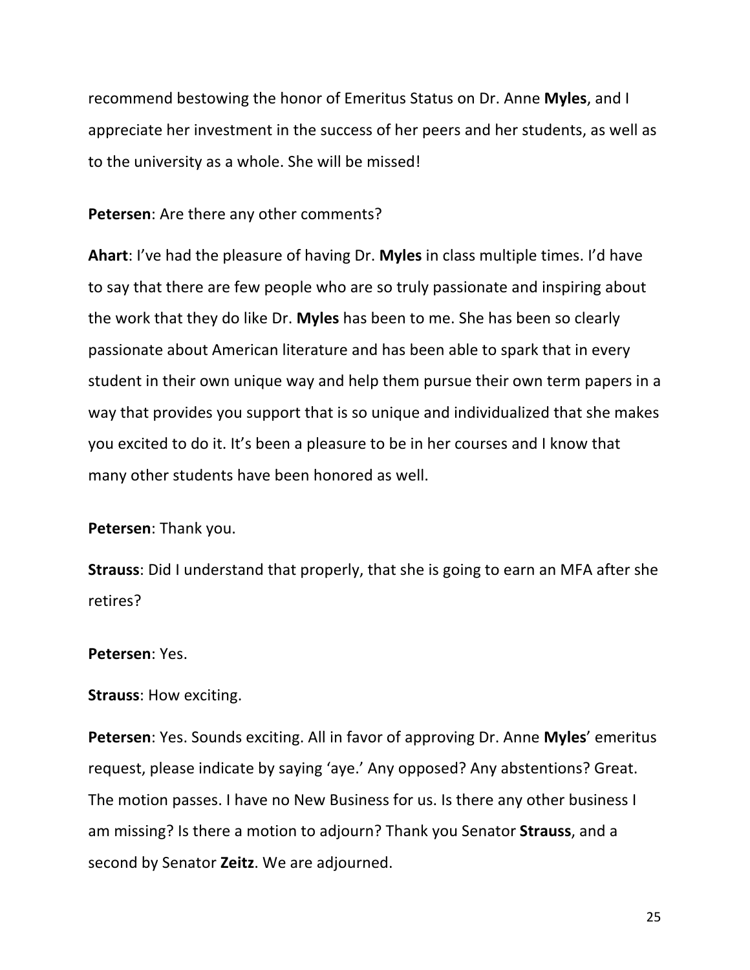recommend bestowing the honor of Emeritus Status on Dr. Anne Myles, and I appreciate her investment in the success of her peers and her students, as well as to the university as a whole. She will be missed!

#### **Petersen:** Are there any other comments?

**Ahart:** I've had the pleasure of having Dr. Myles in class multiple times. I'd have to say that there are few people who are so truly passionate and inspiring about the work that they do like Dr. Myles has been to me. She has been so clearly passionate about American literature and has been able to spark that in every student in their own unique way and help them pursue their own term papers in a way that provides you support that is so unique and individualized that she makes you excited to do it. It's been a pleasure to be in her courses and I know that many other students have been honored as well.

**Petersen:** Thank you.

**Strauss:** Did I understand that properly, that she is going to earn an MFA after she retires?

### **Petersen**: Yes.

#### **Strauss: How exciting.**

**Petersen**: Yes. Sounds exciting. All in favor of approving Dr. Anne **Myles**' emeritus request, please indicate by saying 'aye.' Any opposed? Any abstentions? Great. The motion passes. I have no New Business for us. Is there any other business I am missing? Is there a motion to adjourn? Thank you Senator **Strauss**, and a second by Senator Zeitz. We are adjourned.